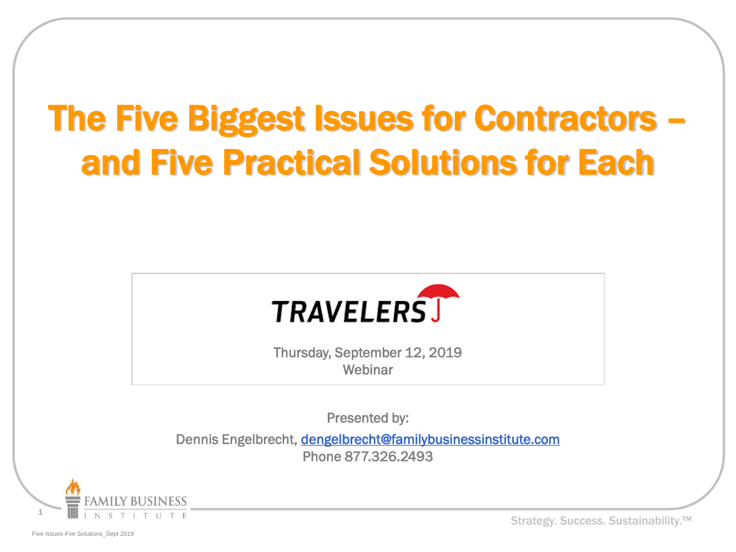# The Five Biggest Issues for Contractors – and Five Practical Solutions for Each



Thursday, September 12, 2019 Webinar

Presented by:

Dennis Engelbrecht, [dengelbrecht@familybusinessinstitute.com](mailto:edengelbrecht@familybusinessinstitute.com) Phone 877.326.2493



Strategy. Success. Sustainability.<sup>™</sup>

Five Issues-Fve Solutions\_Sept 2019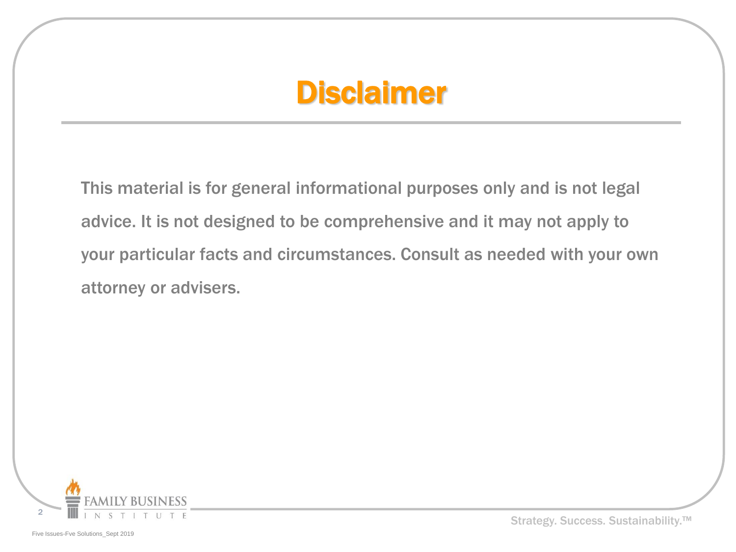#### Disclaimer

This material is for general informational purposes only and is not legal advice. It is not designed to be comprehensive and it may not apply to your particular facts and circumstances. Consult as needed with your own attorney or advisers.

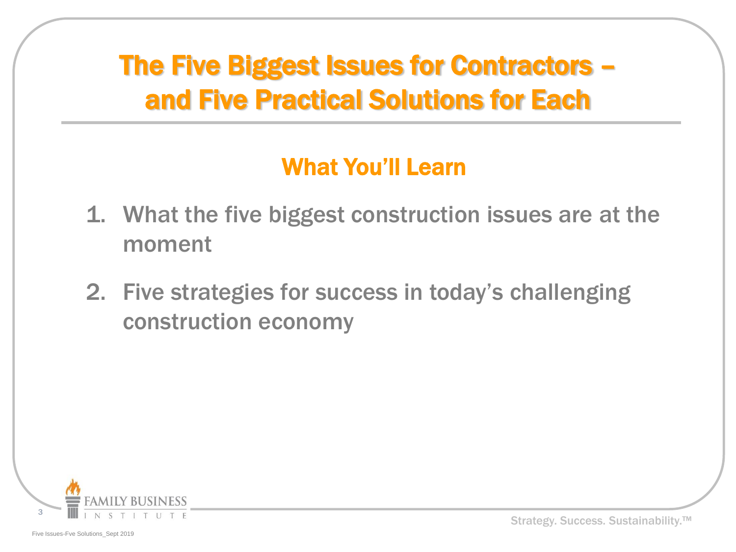#### The Five Biggest Issues for Contractors – and Five Practical Solutions for Each

#### What You'll Learn

- 1. What the five biggest construction issues are at the moment
- 2. Five strategies for success in today's challenging construction economy

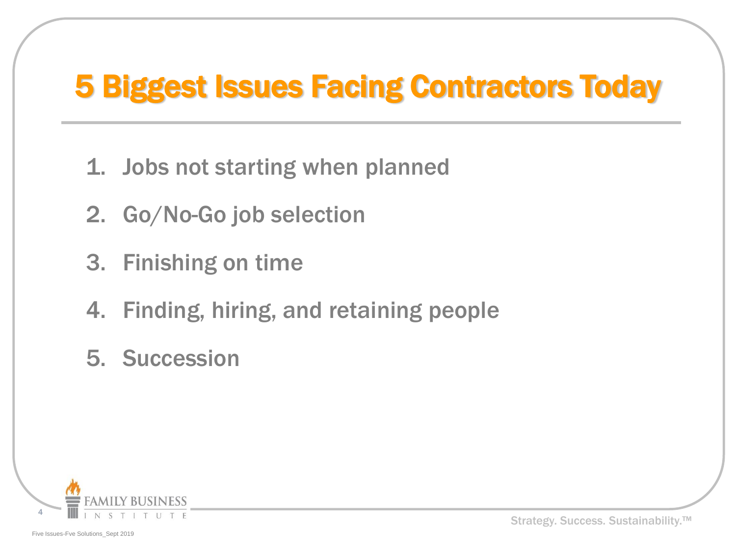### 5 Biggest Issues Facing Contractors Today

- 1. Jobs not starting when planned
- 2. Go/No-Go job selection
- 3. Finishing on time
- 4. Finding, hiring, and retaining people
- 5. Succession

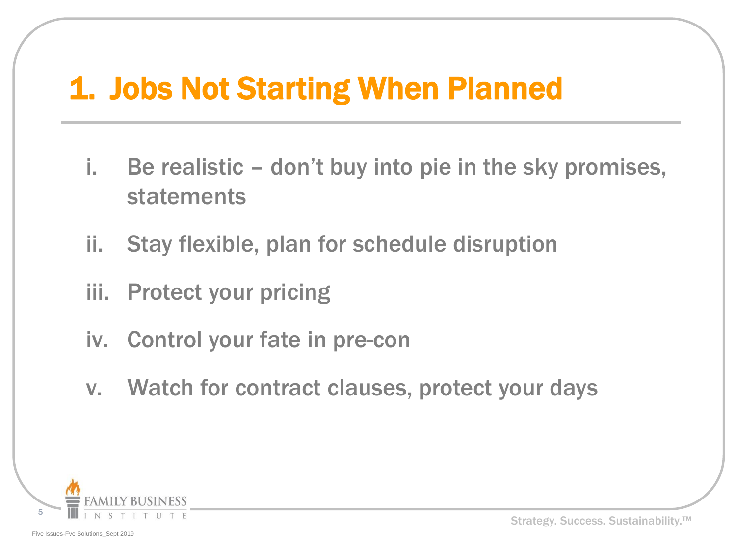#### 1. Jobs Not Starting When Planned

- i. Be realistic don't buy into pie in the sky promises, statements
- ii. Stay flexible, plan for schedule disruption
- iii. Protect your pricing
- iv. Control your fate in pre-con
- v. Watch for contract clauses, protect your days

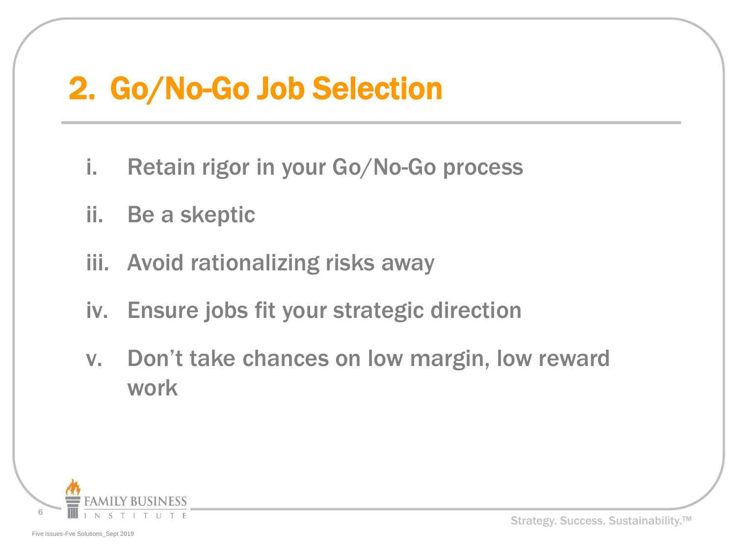#### 2. Go/No-Go Job Selection

- i. Retain rigor in your Go/No-Go process
- ii. Be a skeptic
- iii. Avoid rationalizing risks away
- iv. Ensure jobs fit your strategic direction
- v. Don't take chances on low margin, low reward work

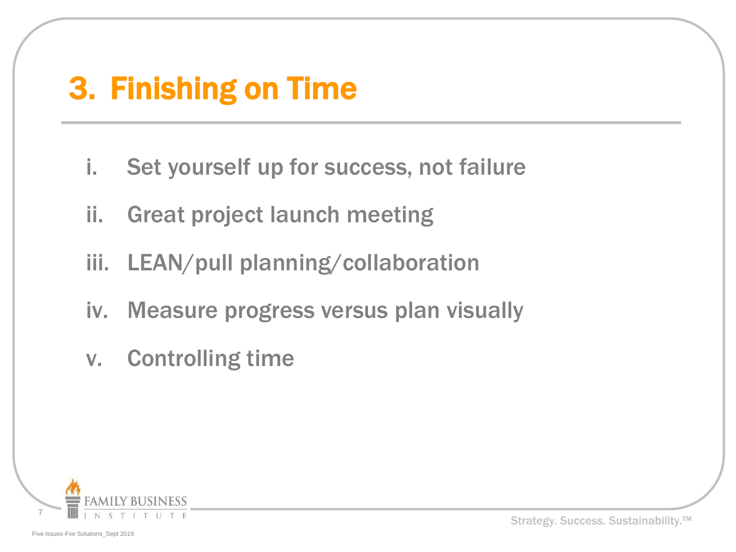#### 3. Finishing on Time

- i. Set yourself up for success, not failure
- ii. Great project launch meeting
- iii. LEAN/pull planning/collaboration
- iv. Measure progress versus plan visually
- v. Controlling time

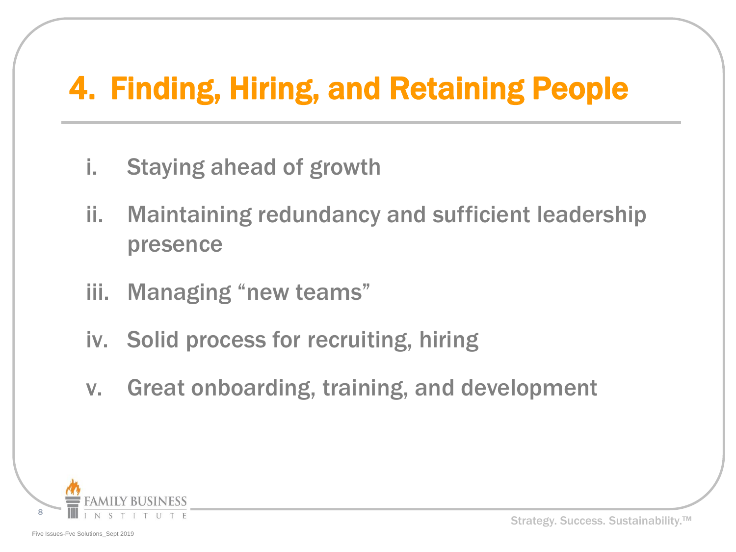### 4. Finding, Hiring, and Retaining People

- i. Staying ahead of growth
- ii. Maintaining redundancy and sufficient leadership presence
- iii. Managing "new teams"
- iv. Solid process for recruiting, hiring
- v. Great onboarding, training, and development

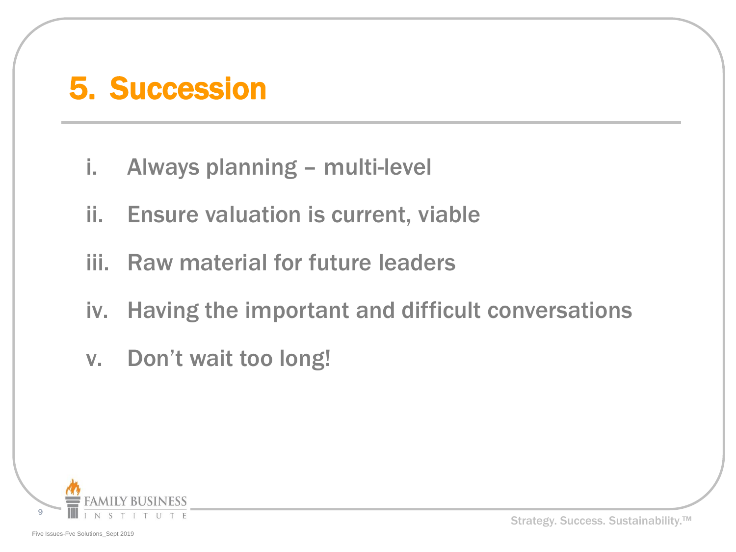#### 5. Succession

- i. Always planning multi-level
- ii. Ensure valuation is current, viable
- iii. Raw material for future leaders
- iv. Having the important and difficult conversations
- v. Don't wait too long!

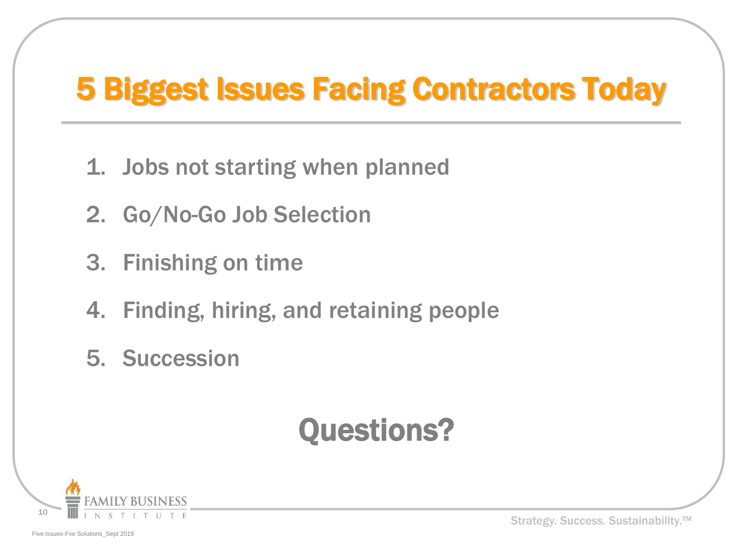### 5 Biggest Issues Facing Contractors Today

- 1. Jobs not starting when planned
- 2. Go/No-Go Job Selection
- 3. Finishing on time
- 4. Finding, hiring, and retaining people
- 5. Succession

### Questions?



Strategy. Success. Sustainability.<sup>™</sup>